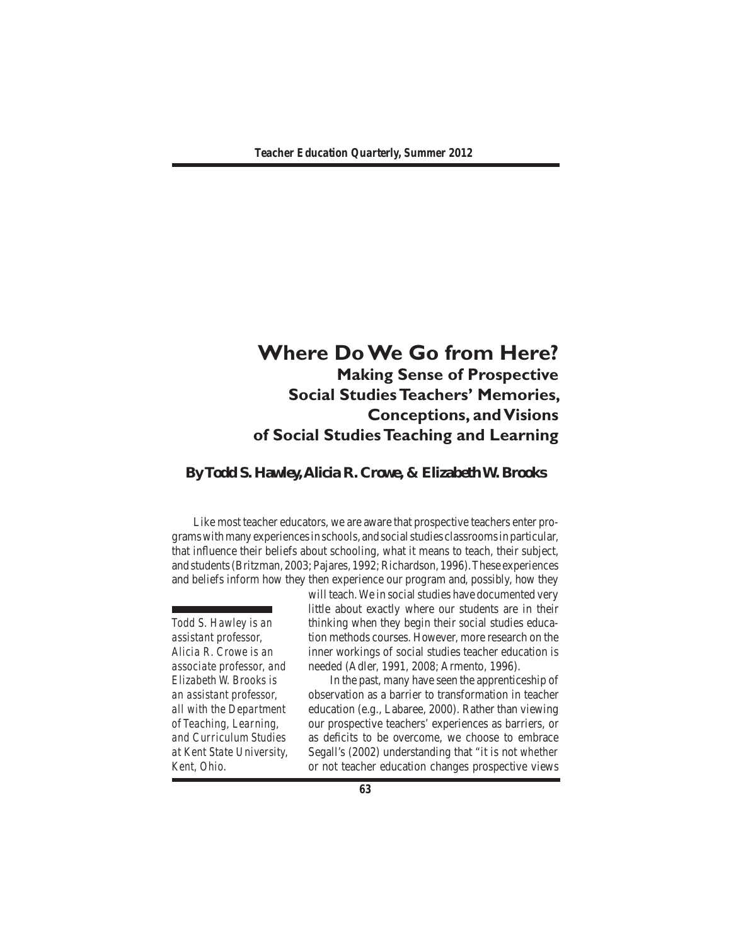# **Where Do We Go from Here? Making Sense of Prospective Social Studies Teachers' Memories, Conceptions, and Visions of Social Studies Teaching and Learning**

# **By Todd S. Hawley, Alicia R. Crowe, & Elizabeth W. Brooks**

 Like most teacher educators, we are aware that prospective teachers enter programswithmany experiencesin schools, and socialstudies classroomsin particular, that influence their beliefs about schooling, what it means to teach, their subject, and students(Britzman, 2003; Pajares, 1992;Richardson, 1996).These experiences and beliefs inform how they then experience our program and, possibly, how they

*Todd S. Hawley is an assistant professor, Alicia R. Crowe is an associate professor, and Elizabeth W. Brooks is an assistant professor, all with the Department of Teaching, Learning, and Curriculum Studies at Kent State University, Kent, Ohio.*

will teach. We in social studies have documented very little about exactly where our students are in their thinking when they begin their social studies education methods courses. However, more research on the inner workings of social studies teacher education is needed (Adler, 1991, 2008; Armento, 1996).

 In the past, many have seen the apprenticeship of observation as a barrier to transformation in teacher education (e.g., Labaree, 2000). Rather than viewing our prospective teachers' experiences as barriers, or as deficits to be overcome, we choose to embrace Segall's (2002) understanding that "it is not *whether* or not teacher education changes prospective views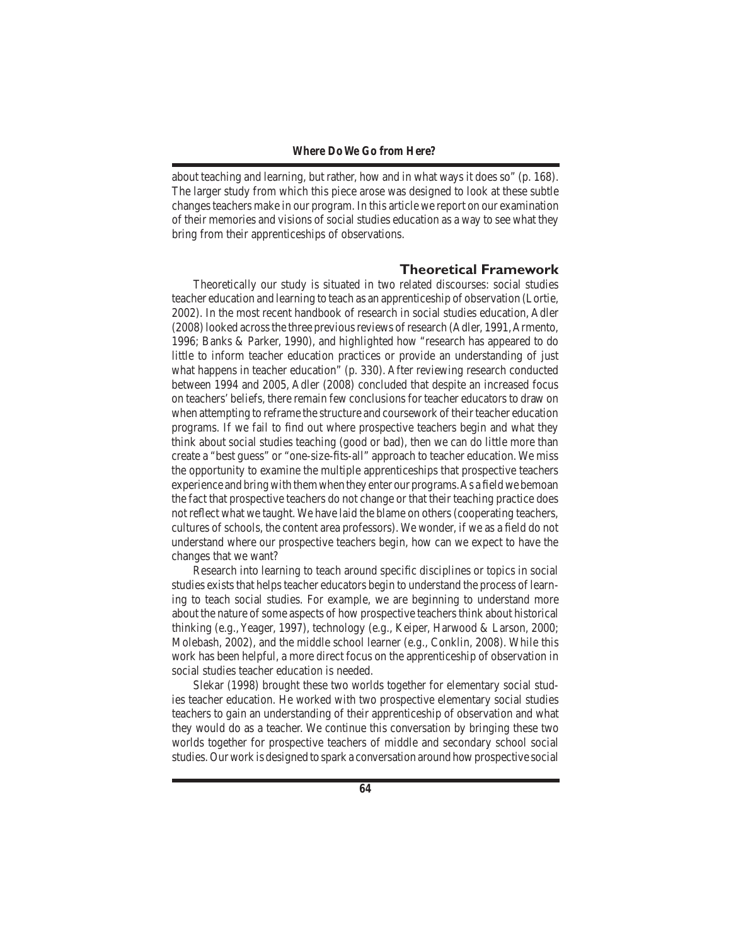about teaching and learning, but rather, how and in what ways it does so" (p. 168). The larger study from which this piece arose was designed to look at these subtle changesteachers make in our program. In this article we report on our examination of their memories and visions of social studies education as a way to see what they bring from their apprenticeships of observations.

### **Theoretical Framework**

 Theoretically our study is situated in two related discourses: social studies teacher education and learning to teach as an apprenticeship of observation (Lortie, 2002). In the most recent handbook of research in social studies education, Adler (2008)looked acrossthe three previousreviews ofresearch (Adler, 1991,Armento, 1996; Banks & Parker, 1990), and highlighted how "research has appeared to do little to inform teacher education practices or provide an understanding of just what happens in teacher education" (p. 330). After reviewing research conducted between 1994 and 2005, Adler (2008) concluded that despite an increased focus on teachers'beliefs, there remain few conclusions for teacher educators to draw on when attempting to reframe the structure and coursework of their teacher education programs. If we fail to find out where prospective teachers begin and what they think about social studies teaching (good or bad), then we can do little more than create a "best guess" or "one-size-fits-all" approach to teacher education. We miss the opportunity to examine the multiple apprenticeships that prospective teachers experience and bring with them when they enter our programs. As a field we bemoan the fact that prospective teachers do not change or that their teaching practice does not reflect what we taught. We have laid the blame on others (cooperating teachers, cultures of schools, the content area professors). We wonder, if we as a field do not understand where our prospective teachers begin, how can we expect to have the changes that we want?

 Research into learning to teach around specific disciplines or topics in social studies exists that helps teacher educators begin to understand the process of learning to teach social studies. For example, we are beginning to understand more about the nature of some aspects of how prospective teachers think about historical thinking (e.g., Yeager, 1997), technology (e.g., Keiper, Harwood & Larson, 2000; Molebash, 2002), and the middle school learner (e.g., Conklin, 2008). While this work has been helpful, a more direct focus on the apprenticeship of observation in social studies teacher education is needed.

 Slekar (1998) brought these two worlds together for elementary social studies teacher education. He worked with two prospective elementary social studies teachers to gain an understanding of their apprenticeship of observation and what they would do as a teacher. We continue this conversation by bringing these two worlds together for prospective teachers of middle and secondary school social studies. Our work is designed to spark a conversation around how prospective social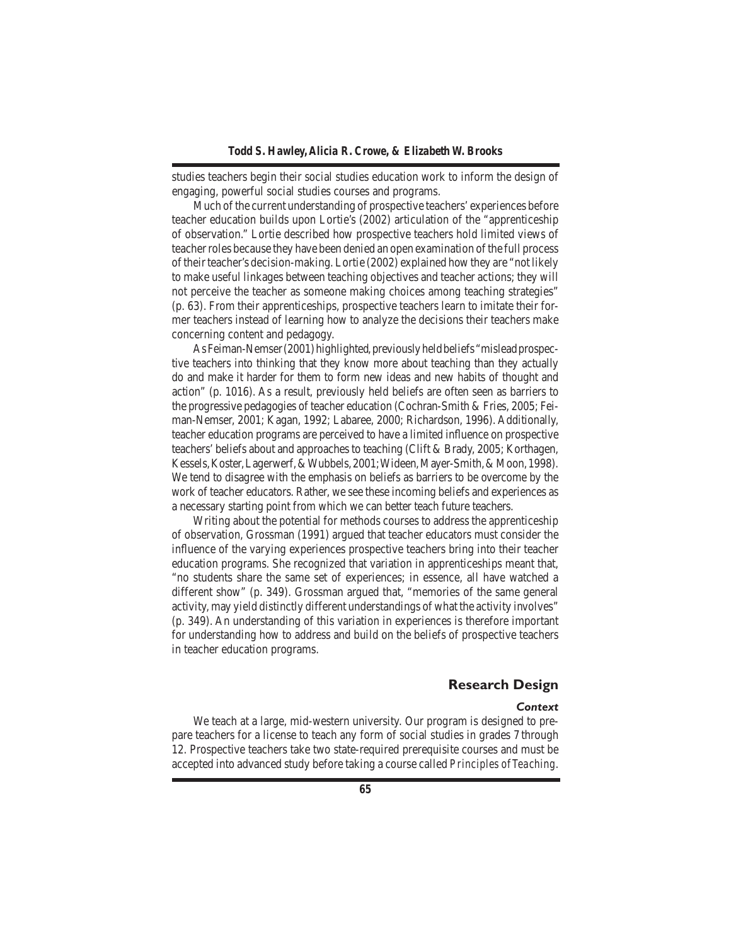studies teachers begin their social studies education work to inform the design of engaging, powerful social studies courses and programs.

Much of the current understanding of prospective teachers' experiences before teacher education builds upon Lortie's (2002) articulation of the "apprenticeship of observation." Lortie described how prospective teachers hold limited views of teacherroles because they have been denied an open examination ofthe full process of their teacher's decision-making. Lortie (2002) explained how they are "not likely to make useful linkages between teaching objectives and teacher actions; they will not perceive the teacher as someone making choices among teaching strategies" (p. 63). From their apprenticeships, prospective teachers learn to imitate their former teachers instead of learning how to analyze the decisions their teachers make concerning content and pedagogy.

As Feiman-Nemser (2001) highlighted, previously held beliefs "mislead prospective teachers into thinking that they know more about teaching than they actually do and make it harder for them to form new ideas and new habits of thought and action" (p. 1016). As a result, previously held beliefs are often seen as barriers to the progressive pedagogies of teacher education (Cochran-Smith & Fries, 2005; Feiman-Nemser, 2001; Kagan, 1992; Labaree, 2000; Richardson, 1996). Additionally, teacher education programs are perceived to have a limited influence on prospective teachers'beliefs about and approaches to teaching (Clift & Brady, 2005; Korthagen, Kessels,Koster,Lagerwerf,&Wubbels,2001;Wideen,Mayer-Smith,&Moon,1998). We tend to disagree with the emphasis on beliefs as barriers to be overcome by the work of teacher educators. Rather, we see these incoming beliefs and experiences as a necessary starting point from which we can better teach future teachers.

 Writing about the potential for methods courses to address the apprenticeship of observation, Grossman (1991) argued that teacher educators must consider the influence of the varying experiences prospective teachers bring into their teacher education programs. She recognized that variation in apprenticeships meant that, "no students share the same set of experiences; in essence, all have watched a different show" (p. 349). Grossman argued that, "memories of the same general activity, may yield distinctly different understandings of what the activity involves" (p. 349). An understanding of this variation in experiences is therefore important for understanding how to address and build on the beliefs of prospective teachers in teacher education programs.

# **Research Design**

#### *Context*

 We teach at a large, mid-western university. Our program is designed to prepare teachers for a license to teach any form of social studies in grades 7 through 12. Prospective teachers take two state-required prerequisite courses and must be accepted into advanced study before taking a course called *Principles of Teaching*.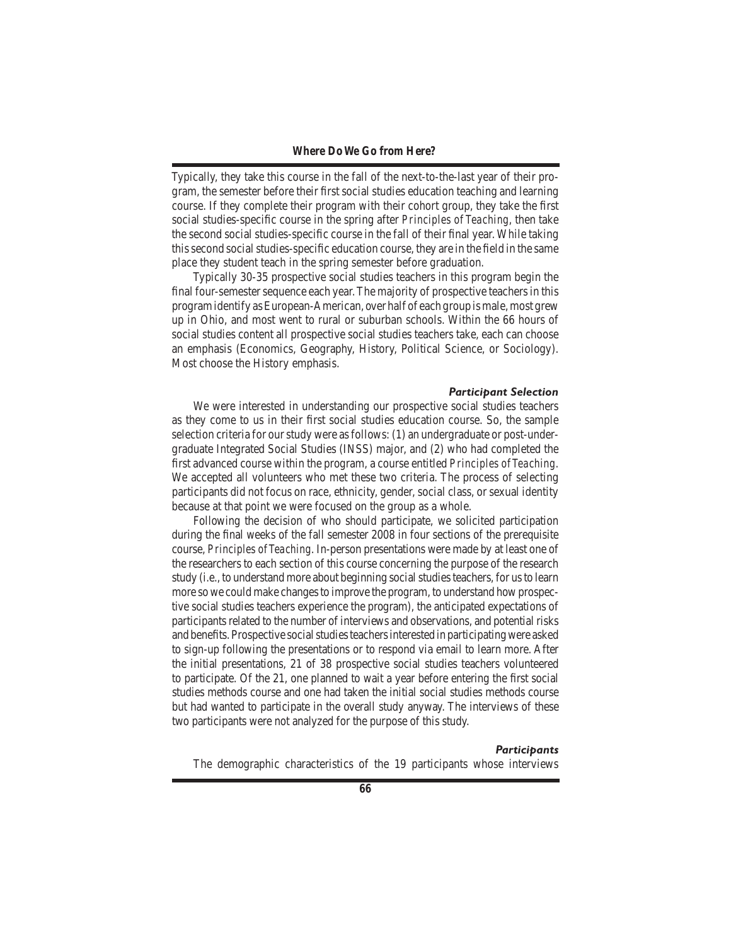Typically, they take this course in the fall of the next-to-the-last year of their program, the semester before their first social studies education teaching and learning course. If they complete their program with their cohort group, they take the first social studies-specific course in the spring after *Principles of Teaching*, then take the second social studies-specific course in the fall of their final year. While taking this second social studies-specific education course, they are in the field in the same place they student teach in the spring semester before graduation.

 Typically 30-35 prospective social studies teachers in this program begin the final four-semester sequence each year. The majority of prospective teachers in this program identify as European-American, over half of each group is male, most grew up in Ohio, and most went to rural or suburban schools. Within the 66 hours of social studies content all prospective social studies teachers take, each can choose an emphasis (Economics, Geography, History, Political Science, or Sociology). Most choose the History emphasis.

#### *Participant Selection*

We were interested in understanding our prospective social studies teachers as they come to us in their first social studies education course. So, the sample selection criteria for our study were as follows: (1) an undergraduate or post-undergraduate Integrated Social Studies (INSS) major, and (2) who had completed the first advanced course within the program, a course entitled *Principles of Teaching*. We accepted all volunteers who met these two criteria. The process of selecting participants did not focus on race, ethnicity, gender, social class, or sexual identity because at that point we were focused on the group as a whole.

 Following the decision of who should participate, we solicited participation during the final weeks of the fall semester 2008 in four sections of the prerequisite course, *Principles of Teaching*. In-person presentations were made by at least one of the researchers to each section of this course concerning the purpose of the research study (i.e., to understand more about beginning social studies teachers, for us to learn more so we could make changes to improve the program, to understand how prospective social studies teachers experience the program), the anticipated expectations of participants related to the number of interviews and observations, and potential risks and benefits.Prospective socialstudiesteachersinterested in participatingwere asked to sign-up following the presentations or to respond via email to learn more. After the initial presentations, 21 of 38 prospective social studies teachers volunteered to participate. Of the 21, one planned to wait a year before entering the first social studies methods course and one had taken the initial social studies methods course but had wanted to participate in the overall study anyway. The interviews of these two participants were not analyzed for the purpose of this study.

#### *Participants*

The demographic characteristics of the 19 participants whose interviews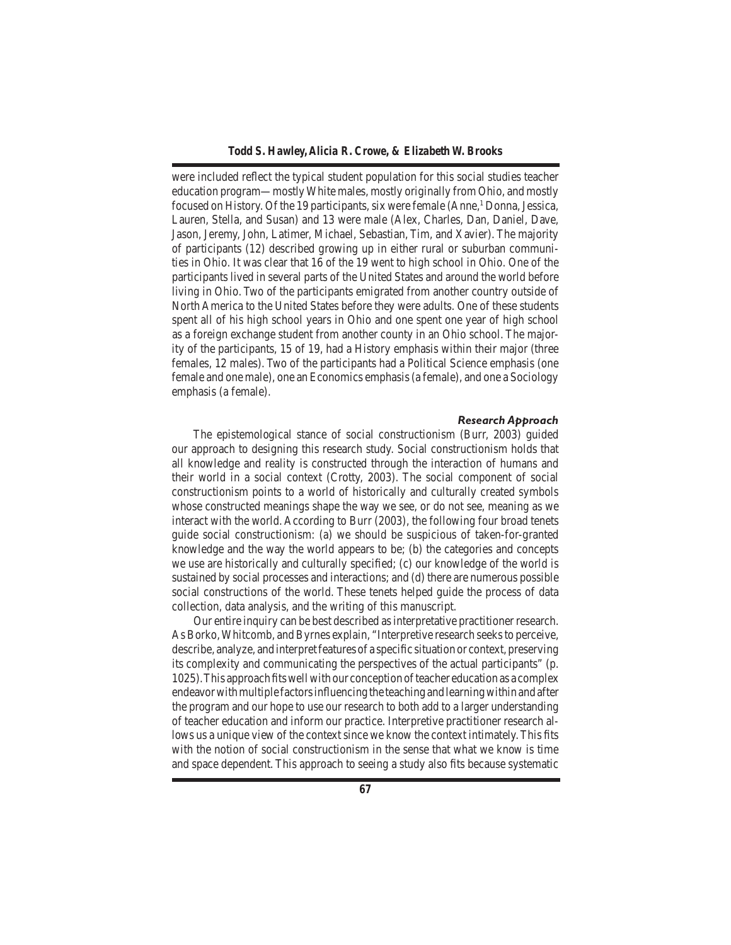were included reflect the typical student population for this social studies teacher education program—mostlyWhite males, mostly originally from Ohio, and mostly focused on History. Of the 19 participants, six were female (Anne,<sup>1</sup> Donna, Jessica, Lauren, Stella, and Susan) and 13 were male (Alex, Charles, Dan, Daniel, Dave, Jason, Jeremy, John, Latimer, Michael, Sebastian, Tim, and Xavier). The majority of participants (12) described growing up in either rural or suburban communities in Ohio. It was clear that 16 of the 19 went to high school in Ohio. One of the participants lived in several parts of the United States and around the world before living in Ohio. Two of the participants emigrated from another country outside of North America to the United States before they were adults. One of these students spent all of his high school years in Ohio and one spent one year of high school as a foreign exchange student from another county in an Ohio school. The majority of the participants, 15 of 19, had a History emphasis within their major (three females, 12 males). Two of the participants had a Political Science emphasis (one female and one male), one an Economics emphasis(a female), and one a Sociology emphasis (a female).

#### *Research Approach*

The epistemological stance of social constructionism (Burr, 2003) guided our approach to designing this research study. Social constructionism holds that all knowledge and reality is constructed through the interaction of humans and their world in a social context (Crotty, 2003). The social component of social constructionism points to a world of historically and culturally created symbols whose constructed meanings shape the way we see, or do not see, meaning as we interact with the world. According to Burr (2003), the following four broad tenets guide social constructionism: (a) we should be suspicious of taken-for-granted knowledge and the way the world appears to be; (b) the categories and concepts we use are historically and culturally specified; (c) our knowledge of the world is sustained by social processes and interactions; and (d) there are numerous possible social constructions of the world. These tenets helped guide the process of data collection, data analysis, and the writing of this manuscript.

 Our entire inquiry can be best described asinterpretative practitioner research. As Borko, Whitcomb, and Byrnes explain, "Interpretive research seeks to perceive, describe, analyze, and interpret features of a specific situation or context, preserving its complexity and communicating the perspectives of the actual participants" (p. 1025). This approach fits well with our conception of teacher education as a complex endeavor with multiple factors influencing the teaching and learning within and after the program and our hope to use our research to both add to a larger understanding of teacher education and inform our practice. Interpretive practitioner research allows us a unique view of the context since we know the context intimately.This fits with the notion of social constructionism in the sense that what we know is time and space dependent. This approach to seeing a study also fits because systematic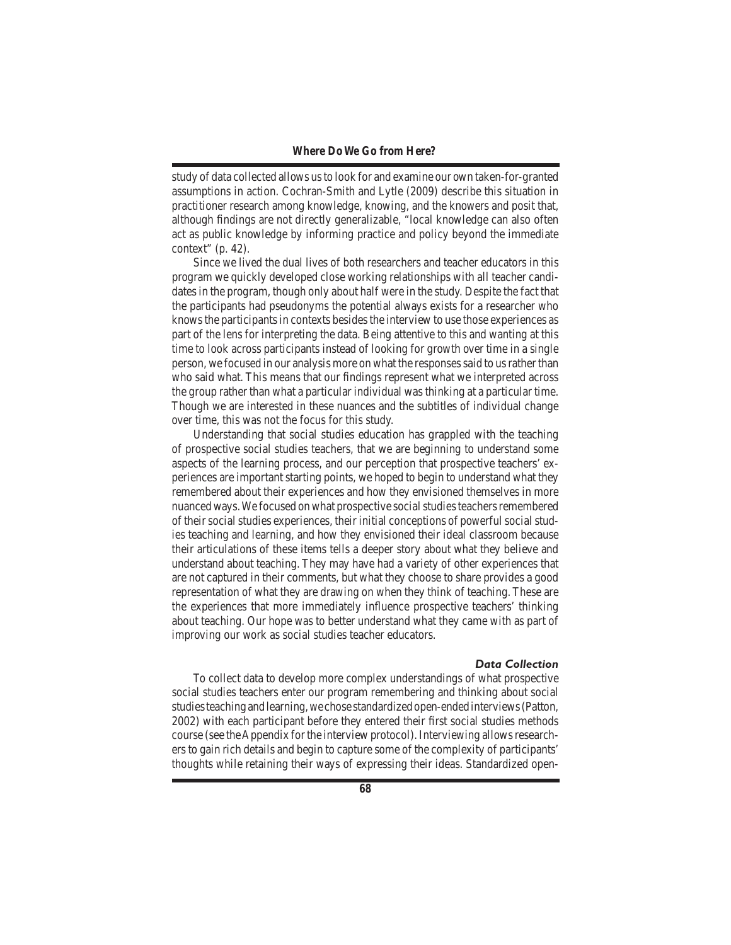study of data collected allows usto look for and examine our own taken-for-granted assumptions in action. Cochran-Smith and Lytle (2009) describe this situation in practitioner research among knowledge, knowing, and the knowers and posit that, although findings are not directly generalizable, "local knowledge can also often act as public knowledge by informing practice and policy beyond the immediate context" (p. 42).

 Since we lived the dual lives of both researchers and teacher educators in this program we quickly developed close working relationships with all teacher candidatesin the program, though only about half were in the study. Despite the fact that the participants had pseudonyms the potential always exists for a researcher who knows the participants in contexts besides the interview to use those experiences as part of the lens for interpreting the data. Being attentive to this and wanting at this time to look across participants instead of looking for growth over time in a single person, we focused in our analysis more on what the responsessaid to usrather than who said what. This means that our findings represent what we interpreted across the group rather than what a particular individual was thinking at a particular time. Though we are interested in these nuances and the subtitles of individual change over time, this was not the focus for this study.

 Understanding that social studies education has grappled with the teaching of prospective social studies teachers, that we are beginning to understand some aspects of the learning process, and our perception that prospective teachers' experiences are important starting points, we hoped to begin to understand what they remembered about their experiences and how they envisioned themselves in more nuanced ways. We focused on what prospective social studies teachers remembered of theirsocialstudies experiences, their initial conceptions of powerfulsocialstudies teaching and learning, and how they envisioned their ideal classroom because their articulations of these items tells a deeper story about what they believe and understand about teaching. They may have had a variety of other experiences that are not captured in their comments, but what they choose to share provides a good representation of what they are drawing on when they think of teaching. These are the experiences that more immediately influence prospective teachers' thinking about teaching. Our hope was to better understand what they came with as part of improving our work as social studies teacher educators.

#### *Data Collection*

To collect data to develop more complex understandings of what prospective social studies teachers enter our program remembering and thinking about social studies teaching and learning, we chose standardized open-ended interviews (Patton, 2002) with each participant before they entered their first social studies methods course (see the Appendix for the interview protocol). Interviewing allows researchers to gain rich details and begin to capture some of the complexity of participants' thoughts while retaining their ways of expressing their ideas. Standardized open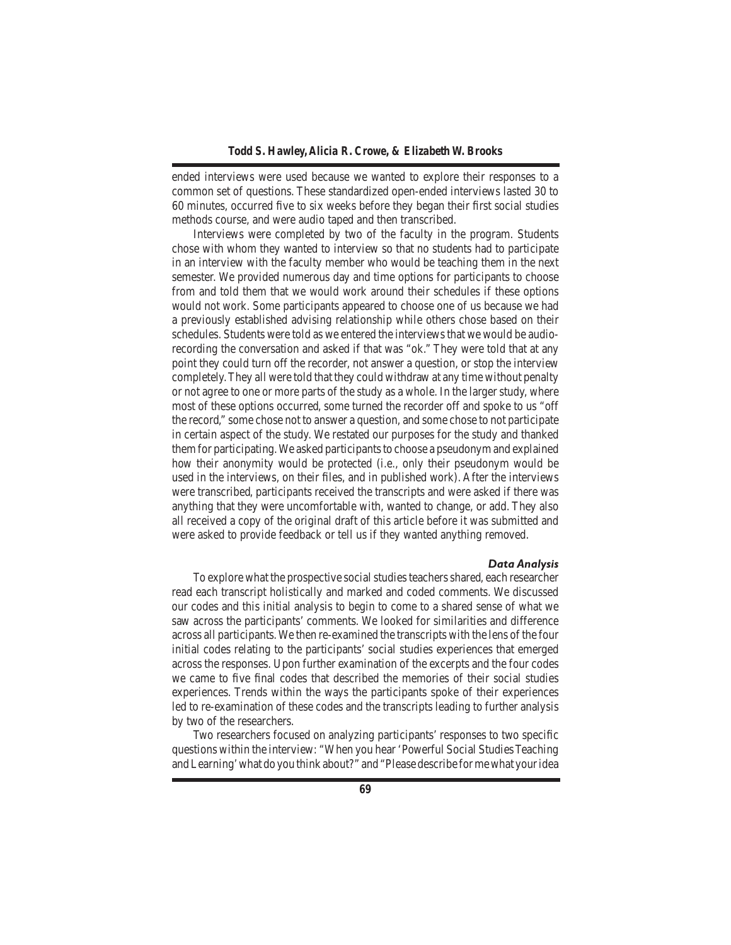ended interviews were used because we wanted to explore their responses to a common set of questions. These standardized open-ended interviews lasted 30 to 60 minutes, occurred five to six weeks before they began their first social studies methods course, and were audio taped and then transcribed.

 Interviews were completed by two of the faculty in the program. Students chose with whom they wanted to interview so that no students had to participate in an interview with the faculty member who would be teaching them in the next semester. We provided numerous day and time options for participants to choose from and told them that we would work around their schedules if these options would not work. Some participants appeared to choose one of us because we had a previously established advising relationship while others chose based on their schedules. Students were told as we entered the interviews that we would be audiorecording the conversation and asked if that was "ok." They were told that at any point they could turn off the recorder, not answer a question, or stop the interview completely.They all were told that they could withdraw at any time without penalty or not agree to one or more parts of the study as a whole. In the larger study, where most of these options occurred, some turned the recorder off and spoke to us "off the record," some chose not to answer a question, and some chose to not participate in certain aspect of the study. We restated our purposes for the study and thanked them for participating. We asked participants to choose a pseudonym and explained how their anonymity would be protected (i.e., only their pseudonym would be used in the interviews, on their files, and in published work). After the interviews were transcribed, participants received the transcripts and were asked if there was anything that they were uncomfortable with, wanted to change, or add. They also all received a copy of the original draft of this article before it was submitted and were asked to provide feedback or tell us if they wanted anything removed.

#### *Data Analysis*

To explore what the prospective social studies teachers shared, each researcher read each transcript holistically and marked and coded comments. We discussed our codes and this initial analysis to begin to come to a shared sense of what we saw across the participants' comments. We looked for similarities and difference across all participants.We then re-examined the transcripts with the lens of the four initial codes relating to the participants' social studies experiences that emerged across the responses. Upon further examination of the excerpts and the four codes we came to five final codes that described the memories of their social studies experiences. Trends within the ways the participants spoke of their experiences led to re-examination of these codes and the transcripts leading to further analysis by two of the researchers.

 Two researchers focused on analyzing participants' responses to two specific questions within the interview: "When you hear 'Powerful Social StudiesTeaching andLearning'what do you think about?" and "Please describe formewhat youridea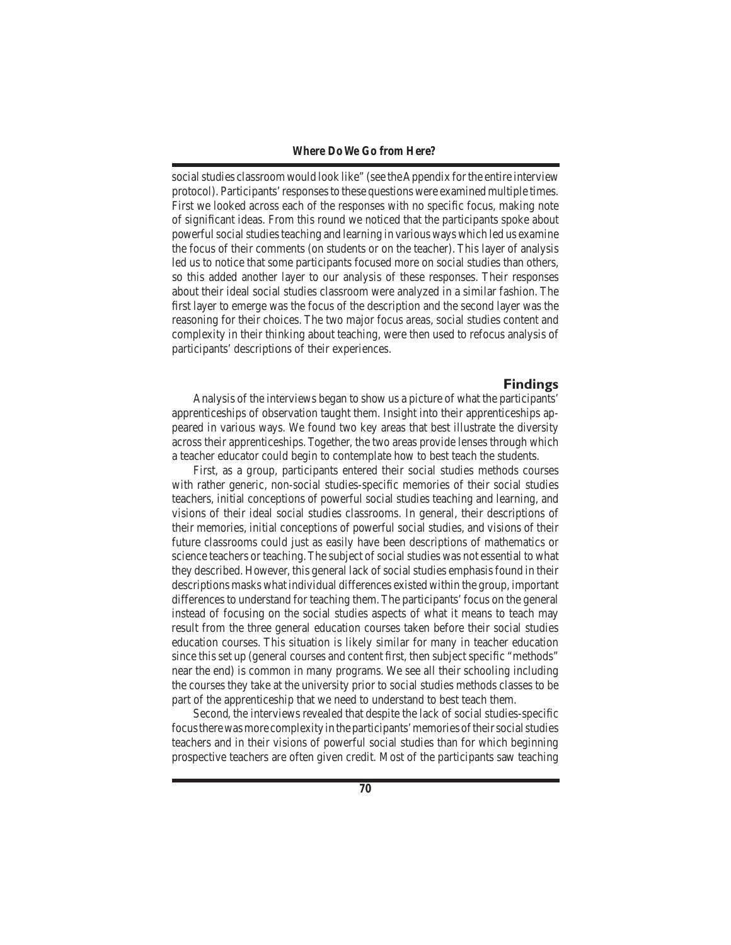social studies classroom would look like" (see the Appendix for the entire interview protocol). Participants'responsesto these questions were examined multiple times. First we looked across each of the responses with no specific focus, making note of significant ideas. From this round we noticed that the participants spoke about powerful social studies teaching and learning in various ways which led us examine the focus of their comments (on students or on the teacher). This layer of analysis led us to notice that some participants focused more on social studies than others, so this added another layer to our analysis of these responses. Their responses about their ideal social studies classroom were analyzed in a similar fashion. The first layer to emerge was the focus of the description and the second layer was the reasoning for their choices. The two major focus areas, social studies content and complexity in their thinking about teaching, were then used to refocus analysis of participants' descriptions of their experiences.

#### **Findings**

 Analysis of the interviews began to show us a picture of what the participants' apprenticeships of observation taught them. Insight into their apprenticeships appeared in various ways. We found two key areas that best illustrate the diversity across their apprenticeships. Together, the two areas provide lenses through which a teacher educator could begin to contemplate how to best teach the students.

 First, as a group, participants entered their social studies methods courses with rather generic, non-social studies-specific memories of their social studies teachers, initial conceptions of powerful social studies teaching and learning, and visions of their ideal social studies classrooms. In general, their descriptions of their memories, initial conceptions of powerful social studies, and visions of their future classrooms could just as easily have been descriptions of mathematics or science teachers or teaching. The subject of social studies was not essential to what they described. However, this general lack of social studies emphasis found in their descriptions masks what individual differences existed within the group, important differences to understand for teaching them. The participants'focus on the general instead of focusing on the social studies aspects of what it means to teach may result from the three general education courses taken before their social studies education courses. This situation is likely similar for many in teacher education since this set up (general courses and content first, then subject specific "methods" near the end) is common in many programs. We see all their schooling including the courses they take at the university prior to social studies methods classes to be part of the apprenticeship that we need to understand to best teach them.

 Second, the interviews revealed that despite the lack of social studies-specific focus there was more complexity in the participants' memories of their social studies teachers and in their visions of powerful social studies than for which beginning prospective teachers are often given credit. Most of the participants saw teaching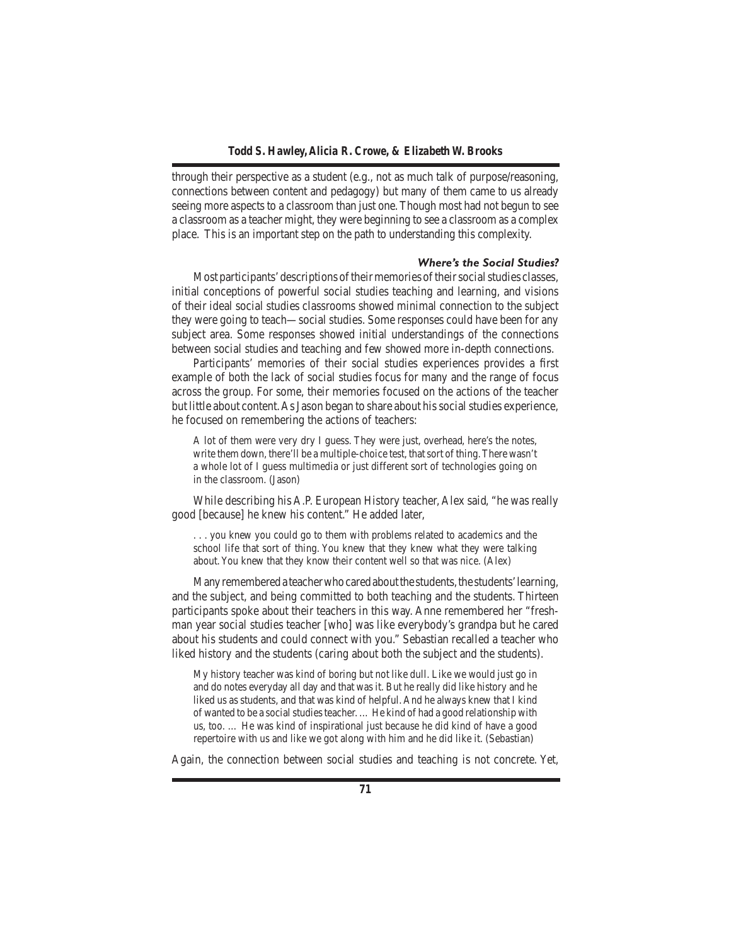through their perspective as a student (e.g., not as much talk of purpose/reasoning, connections between content and pedagogy) but many of them came to us already seeing more aspects to a classroom than just one. Though most had not begun to see a classroom as a teacher might, they were beginning to see a classroom as a complex place. This is an important step on the path to understanding this complexity.

#### *Where's the Social Studies?*

Most participants' descriptions of their memories of their social studies classes, initial conceptions of powerful social studies teaching and learning, and visions of their ideal social studies classrooms showed minimal connection to the subject they were going to teach—social studies. Some responses could have been for any subject area. Some responses showed initial understandings of the connections between social studies and teaching and few showed more in-depth connections.

 Participants' memories of their social studies experiences provides a first example of both the lack of social studies focus for many and the range of focus across the group. For some, their memories focused on the actions of the teacher but little about content.AsJason began to share about hissocialstudies experience, he focused on remembering the actions of teachers:

A lot of them were very dry I guess. They were just, overhead, here's the notes, write them down, there'll be a multiple-choice test, that sort of thing. There wasn't a whole lot of I guess multimedia or just different sort of technologies going on in the classroom. (Jason)

 While describing his A.P. European History teacher, Alex said, "he was really good [because] he knew his content." He added later,

. . . you knew you could go to them with problems related to academics and the school life that sort of thing. You knew that they knew what they were talking about. You knew that they know their content well so that was nice. (Alex)

Many remembered a teacher who cared about the students, the students' learning, and the subject, and being committed to both teaching and the students. Thirteen participants spoke about their teachers in this way. Anne remembered her "freshman year social studies teacher [who] was like everybody's grandpa but he cared about his students and could connect with you." Sebastian recalled a teacher who liked history and the students (caring about both the subject and the students).

My history teacher was kind of boring but not like dull. Like we would just go in and do notes everyday all day and that was it. But he really did like history and he liked us as students, and that was kind of helpful. And he always knew that I kind of wanted to be a social studies teacher. ... He kind of had a good relationship with us, too. … He was kind of inspirational just because he did kind of have a good repertoire with us and like we got along with him and he did like it. (Sebastian)

Again, the connection between social studies and teaching is not concrete. Yet,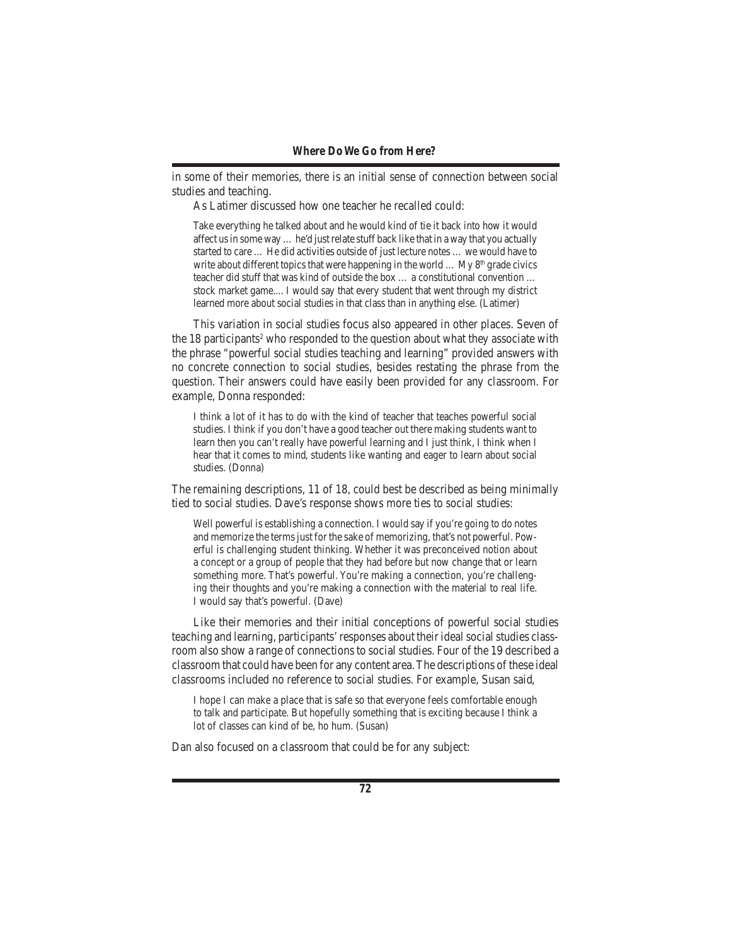in some of their memories, there is an initial sense of connection between social studies and teaching.

 As Latimer discussed how one teacher he recalled could:

Take everything he talked about and he would kind of tie it back into how it would affect us in some way  $\dots$  he'd just relate stuff back like that in a way that you actually started to care … He did activities outside of just lecture notes … we would have to write about different topics that were happening in the world  $\ldots$  My 8<sup>th</sup> grade civics teacher did stuff that was kind of outside the box … a constitutional convention … stock market game.... I would say that every student that went through my district learned more about social studies in that class than in anything else. (Latimer)

 This variation in social studies focus also appeared in other places. Seven of the 18 participants<sup>2</sup> who responded to the question about what they associate with the phrase "powerful social studies teaching and learning" provided answers with no concrete connection to social studies, besides restating the phrase from the question. Their answers could have easily been provided for any classroom. For example, Donna responded:

I think a lot of it has to do with the kind of teacher that teaches powerful social studies. I think if you don't have a good teacher out there making students want to learn then you can't really have powerful learning and I just think, I think when I hear that it comes to mind, students like wanting and eager to learn about social studies. (Donna)

The remaining descriptions, 11 of 18, could best be described as being minimally tied to social studies. Dave's response shows more ties to social studies:

Well powerful is establishing a connection. I would say if you're going to do notes and memorize the terms just for the sake of memorizing, that's not powerful. Powerful is challenging student thinking. Whether it was preconceived notion about a concept or a group of people that they had before but now change that or learn something more. That's powerful. You're making a connection, you're challenging their thoughts and you're making a connection with the material to real life. I would say that's powerful. (Dave)

 Like their memories and their initial conceptions of powerful social studies teaching and learning, participants' responses about their ideal social studies classroom also show a range of connections to social studies. Four of the 19 described a classroom that could have been for any content area.The descriptions of these ideal classrooms included no reference to social studies. For example, Susan said,

I hope I can make a place that is safe so that everyone feels comfortable enough to talk and participate. But hopefully something that is exciting because I think a lot of classes can kind of be, ho hum. (Susan)

Dan also focused on a classroom that could be for any subject: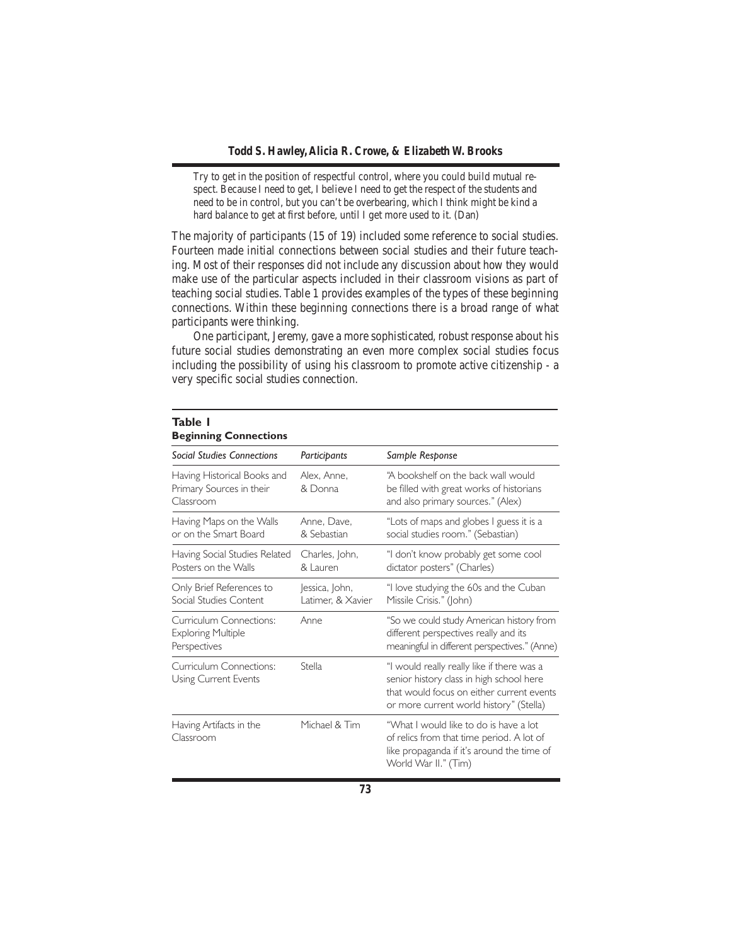Try to get in the position of respectful control, where you could build mutual respect. Because I need to get, I believe I need to get the respect of the students and need to be in control, but you can't be overbearing, which I think might be kind a hard balance to get at first before, until I get more used to it. (Dan)

The majority of participants (15 of 19) included some reference to social studies. Fourteen made initial connections between social studies and their future teaching. Most of their responses did not include any discussion about how they would make use of the particular aspects included in their classroom visions as part of teaching social studies. Table 1 provides examples of the types of these beginning connections. Within these beginning connections there is a broad range of what participants were thinking.

 One participant, Jeremy, gave a more sophisticated, robust response about his future social studies demonstrating an even more complex social studies focus including the possibility of using his classroom to promote active citizenship - a very specific social studies connection.

| <b>Beginning Connections</b>                                         |                                     |                                                                                                                                                                                |  |  |
|----------------------------------------------------------------------|-------------------------------------|--------------------------------------------------------------------------------------------------------------------------------------------------------------------------------|--|--|
| <b>Social Studies Connections</b>                                    | Participants                        | Sample Response                                                                                                                                                                |  |  |
| Having Historical Books and<br>Primary Sources in their<br>Classroom | Alex, Anne,<br>& Donna              | "A bookshelf on the back wall would<br>be filled with great works of historians<br>and also primary sources." (Alex)                                                           |  |  |
| Having Maps on the Walls<br>or on the Smart Board                    | Anne, Dave,<br>& Sebastian          | "Lots of maps and globes I guess it is a<br>social studies room." (Sebastian)                                                                                                  |  |  |
| Having Social Studies Related<br>Posters on the Walls                | Charles, John,<br>& Lauren          | "I don't know probably get some cool<br>dictator posters" (Charles)                                                                                                            |  |  |
| Only Brief References to<br>Social Studies Content                   | Jessica, John,<br>Latimer, & Xavier | "I love studying the 60s and the Cuban<br>Missile Crisis." (John)                                                                                                              |  |  |
| Curriculum Connections:<br><b>Exploring Multiple</b><br>Perspectives | Anne                                | "So we could study American history from<br>different perspectives really and its<br>meaningful in different perspectives." (Anne)                                             |  |  |
| Curriculum Connections:<br>Using Current Events                      | <b>Stella</b>                       | "I would really really like if there was a<br>senior history class in high school here<br>that would focus on either current events<br>or more current world history" (Stella) |  |  |
| Having Artifacts in the<br>Classroom                                 | Michael & Tim                       | "What I would like to do is have a lot<br>of relics from that time period. A lot of<br>like propaganda if it's around the time of<br>World War II." (Tim)                      |  |  |

# **Table 1**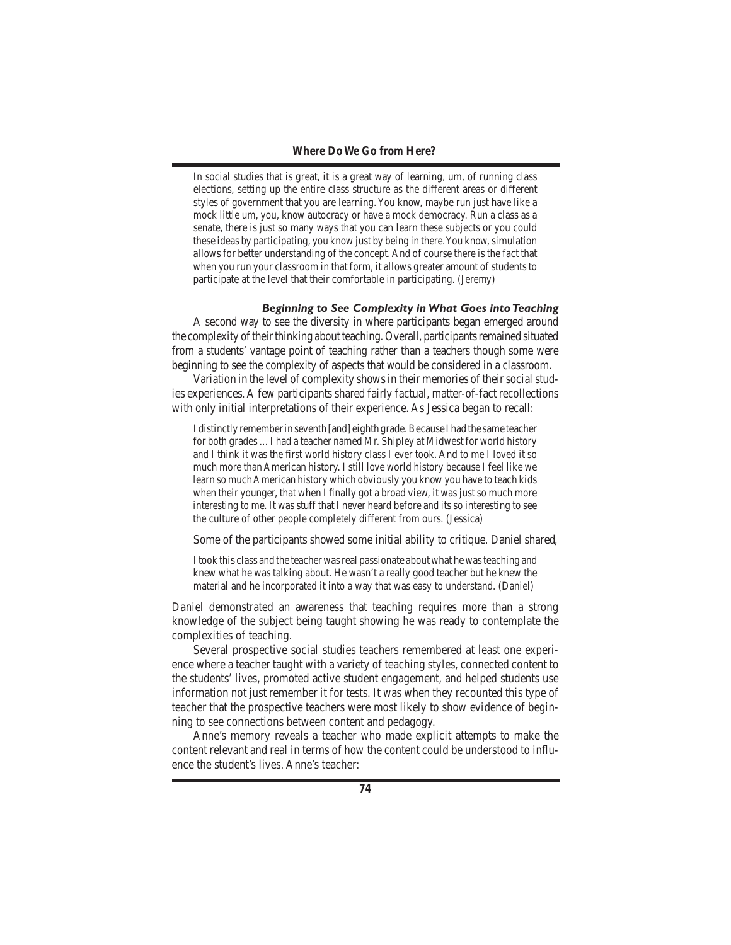In social studies that is great, it is a great way of learning, um, of running class elections, setting up the entire class structure as the different areas or different styles of government that you are learning. You know, maybe run just have like a mock little um, you, know autocracy or have a mock democracy. Run a class as a senate, there is just so many ways that you can learn these subjects or you could these ideas by participating, you know just by being in there. You know, simulation allows for better understanding of the concept. And of course there is the fact that when you run your classroom in that form, it allows greater amount of students to participate at the level that their comfortable in participating. (Jeremy)

#### *Beginning to See Complexity in What Goes into Teaching*

 A second way to see the diversity in where participants began emerged around the complexity of their thinking about teaching. Overall, participants remained situated from a students' vantage point of teaching rather than a teachers though some were beginning to see the complexity of aspects that would be considered in a classroom.

Variation in the level of complexity shows in their memories of their social studies experiences.A few participants shared fairly factual, matter-of-fact recollections with only initial interpretations of their experience. As Jessica began to recall:

I distinctly remember in seventh [and] eighth grade. Because I had the same teacher for both grades …I had a teacher named Mr. Shipley at Midwest for world history and I think it was the first world history class I ever took. And to me I loved it so much more than American history. I still love world history because I feel like we learn so much American history which obviously you know you have to teach kids when their younger, that when I finally got a broad view, it was just so much more interesting to me. It was stuff that I never heard before and its so interesting to see the culture of other people completely different from ours. (Jessica)

 Some of the participants showed some initial ability to critique. Daniel shared,

Itook this class and the teacher wasreal passionate about what he wasteaching and knew what he was talking about. He wasn't a really good teacher but he knew the material and he incorporated it into a way that was easy to understand. (Daniel)

Daniel demonstrated an awareness that teaching requires more than a strong knowledge of the subject being taught showing he was ready to contemplate the complexities of teaching.

 Several prospective social studies teachers remembered at least one experience where a teacher taught with a variety of teaching styles, connected content to the students' lives, promoted active student engagement, and helped students use information not just remember it for tests. It was when they recounted this type of teacher that the prospective teachers were most likely to show evidence of beginning to see connections between content and pedagogy.

 Anne's memory reveals a teacher who made explicit attempts to make the content relevant and real in terms of how the content could be understood to influence the student's lives. Anne's teacher: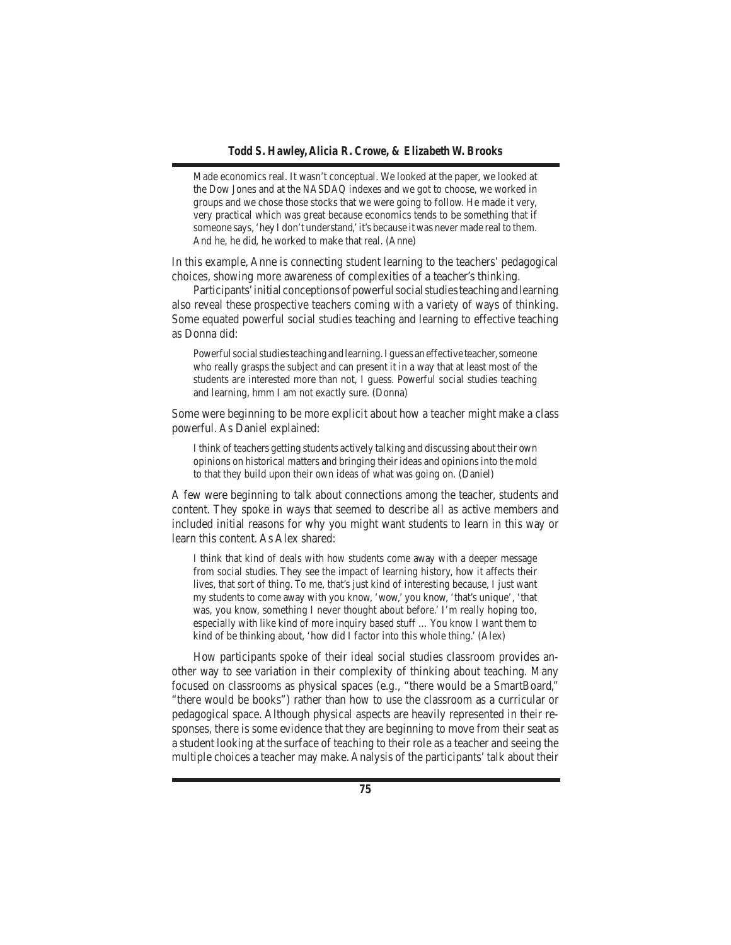Made economics real. It wasn't conceptual. We looked at the paper, we looked at the Dow Jones and at the NASDAQ indexes and we got to choose, we worked in groups and we chose those stocks that we were going to follow. He made it very, very practical which was great because economics tends to be something that if someone says,'hey I don't understand,'it's because it was never made real to them. And he, he did, he worked to make that real. (Anne)

In this example, Anne is connecting student learning to the teachers' pedagogical choices, showing more awareness of complexities of a teacher's thinking.

Participants' initial conceptions of powerful social studies teaching and learning also reveal these prospective teachers coming with a variety of ways of thinking. Some equated powerful social studies teaching and learning to effective teaching as Donna did:

Powerful social studies teaching and learning. I guess an effective teacher, someone who really grasps the subject and can present it in a way that at least most of the students are interested more than not, I guess. Powerful social studies teaching and learning, hmm I am not exactly sure. (Donna)

Some were beginning to be more explicit about how a teacher might make a class powerful. As Daniel explained:

I think of teachers getting students actively talking and discussing about their own opinions on historical matters and bringing their ideas and opinions into the mold to that they build upon their own ideas of what was going on. (Daniel)

A few were beginning to talk about connections among the teacher, students and content. They spoke in ways that seemed to describe all as active members and included initial reasons for why you might want students to learn in this way or learn this content. As Alex shared:

I think that kind of deals with how students come away with a deeper message from social studies. They see the impact of learning history, how it affects their lives, that sort of thing. To me, that's just kind of interesting because, I just want my students to come away with you know, 'wow,' you know, 'that's unique', 'that was, you know, something I never thought about before.' I'm really hoping too, especially with like kind of more inquiry based stuff …You know I want them to kind of be thinking about, 'how did I factor into this whole thing.' (Alex)

 How participants spoke of their ideal social studies classroom provides another way to see variation in their complexity of thinking about teaching. Many focused on classrooms as physical spaces (e.g., "there would be a SmartBoard," "there would be books") rather than how to use the classroom as a curricular or pedagogical space. Although physical aspects are heavily represented in their responses, there is some evidence that they are beginning to move from their seat as a student looking at the surface of teaching to their role as a teacher and seeing the multiple choices a teacher may make. Analysis of the participants'talk about their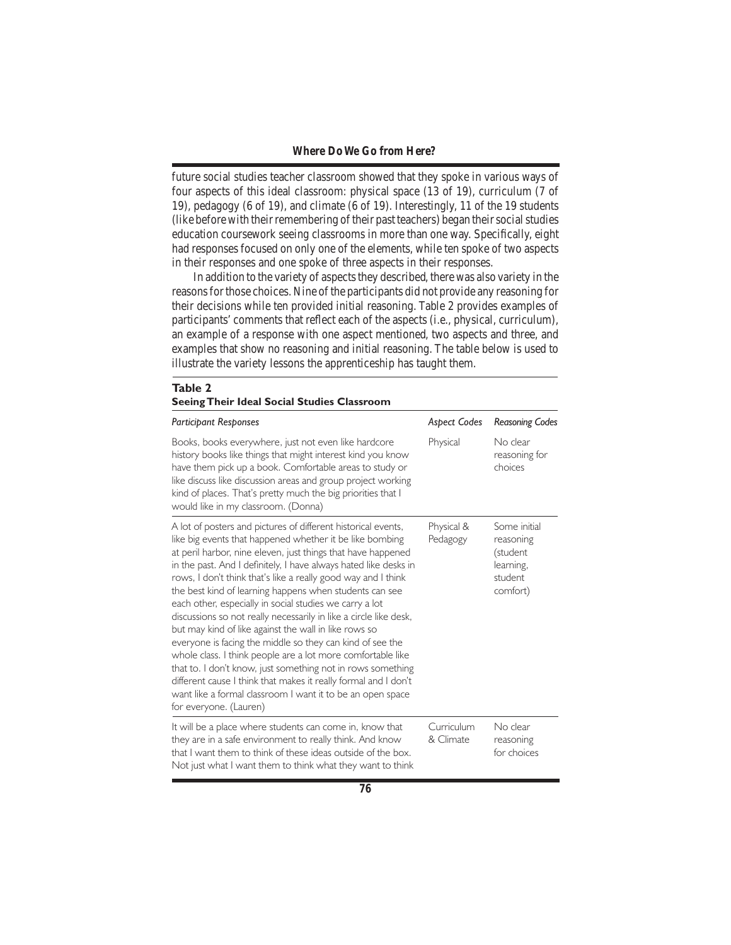future social studies teacher classroom showed that they spoke in various ways of four aspects of this ideal classroom: physical space (13 of 19), curriculum (7 of 19), pedagogy (6 of 19), and climate (6 of 19). Interestingly, 11 of the 19 students (like before with their remembering of their past teachers) began their social studies education coursework seeing classrooms in more than one way. Specifically, eight had responses focused on only one of the elements, while ten spoke of two aspects in their responses and one spoke of three aspects in their responses.

In addition to the variety of aspects they described, there was also variety in the reasons for those choices. Nine of the participants did not provide any reasoning for their decisions while ten provided initial reasoning. Table 2 provides examples of participants' comments that reflect each of the aspects (i.e., physical, curriculum), an example of a response with one aspect mentioned, two aspects and three, and examples that show no reasoning and initial reasoning. The table below is used to illustrate the variety lessons the apprenticeship has taught them.

| Table 2<br><b>Seeing Their Ideal Social Studies Classroom</b>                                                                                                                                                                                                                                                                                                                                                                                                                                                                                                                                                                                                                                                                                                                                                                                                                                                                            |                         |                                                                           |  |  |
|------------------------------------------------------------------------------------------------------------------------------------------------------------------------------------------------------------------------------------------------------------------------------------------------------------------------------------------------------------------------------------------------------------------------------------------------------------------------------------------------------------------------------------------------------------------------------------------------------------------------------------------------------------------------------------------------------------------------------------------------------------------------------------------------------------------------------------------------------------------------------------------------------------------------------------------|-------------------------|---------------------------------------------------------------------------|--|--|
| <b>Participant Responses</b>                                                                                                                                                                                                                                                                                                                                                                                                                                                                                                                                                                                                                                                                                                                                                                                                                                                                                                             | <b>Aspect Codes</b>     | <b>Reasoning Codes</b>                                                    |  |  |
| Books, books everywhere, just not even like hardcore<br>history books like things that might interest kind you know<br>have them pick up a book. Comfortable areas to study or<br>like discuss like discussion areas and group project working<br>kind of places. That's pretty much the big priorities that I<br>would like in my classroom. (Donna)                                                                                                                                                                                                                                                                                                                                                                                                                                                                                                                                                                                    | Physical                | No clear<br>reasoning for<br>choices                                      |  |  |
| A lot of posters and pictures of different historical events,<br>like big events that happened whether it be like bombing<br>at peril harbor, nine eleven, just things that have happened<br>in the past. And I definitely, I have always hated like desks in<br>rows, I don't think that's like a really good way and I think<br>the best kind of learning happens when students can see<br>each other, especially in social studies we carry a lot<br>discussions so not really necessarily in like a circle like desk,<br>but may kind of like against the wall in like rows so<br>everyone is facing the middle so they can kind of see the<br>whole class. I think people are a lot more comfortable like<br>that to. I don't know, just something not in rows something<br>different cause I think that makes it really formal and I don't<br>want like a formal classroom I want it to be an open space<br>for everyone. (Lauren) | Physical &<br>Pedagogy  | Some initial<br>reasoning<br>(student<br>learning,<br>student<br>comfort) |  |  |
| It will be a place where students can come in, know that<br>they are in a safe environment to really think. And know<br>that I want them to think of these ideas outside of the box.<br>Not just what I want them to think what they want to think                                                                                                                                                                                                                                                                                                                                                                                                                                                                                                                                                                                                                                                                                       | Curriculum<br>& Climate | No clear<br>reasoning<br>for choices                                      |  |  |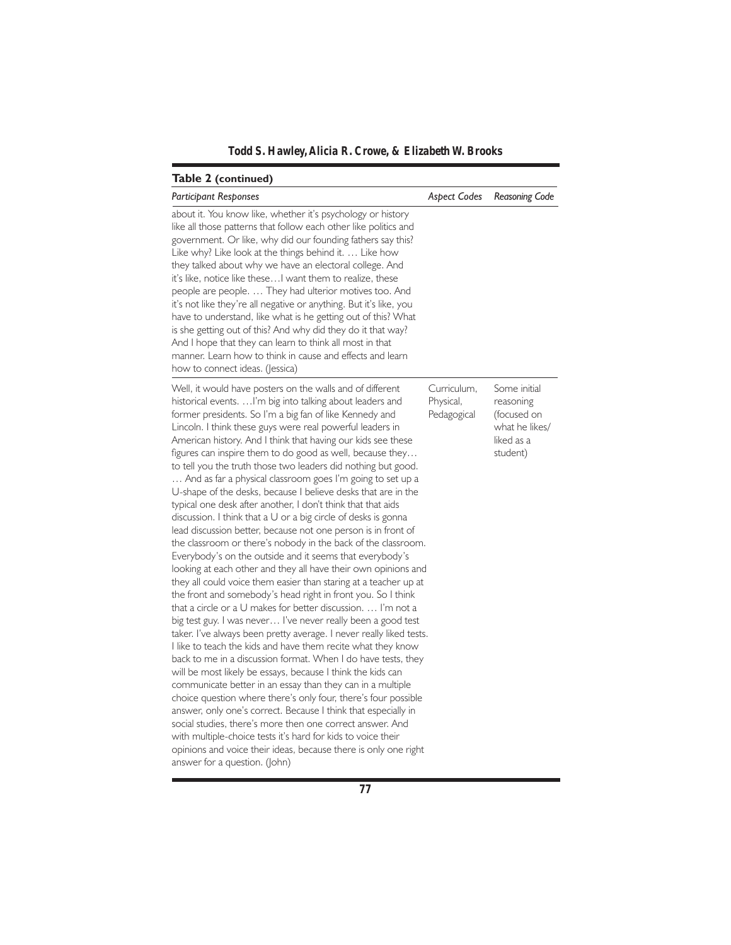*Todd S. Hawley, Alicia R. Crowe, & Elizabeth W. Brooks*

| Table 2 (continued)                                                                                                                                                                                                                                                                                                                                                                                                                                                                                                                                                                                                                                                                                                                                                                                                                                                                                                                                                                                                                                                                                                                                                                                                                                                                                                                                                                                                                                                                                                                                                                                                                                                                                                                                                                                                                                                                                                                                          |                                         |                                                                                      |
|--------------------------------------------------------------------------------------------------------------------------------------------------------------------------------------------------------------------------------------------------------------------------------------------------------------------------------------------------------------------------------------------------------------------------------------------------------------------------------------------------------------------------------------------------------------------------------------------------------------------------------------------------------------------------------------------------------------------------------------------------------------------------------------------------------------------------------------------------------------------------------------------------------------------------------------------------------------------------------------------------------------------------------------------------------------------------------------------------------------------------------------------------------------------------------------------------------------------------------------------------------------------------------------------------------------------------------------------------------------------------------------------------------------------------------------------------------------------------------------------------------------------------------------------------------------------------------------------------------------------------------------------------------------------------------------------------------------------------------------------------------------------------------------------------------------------------------------------------------------------------------------------------------------------------------------------------------------|-----------------------------------------|--------------------------------------------------------------------------------------|
| <b>Participant Responses</b>                                                                                                                                                                                                                                                                                                                                                                                                                                                                                                                                                                                                                                                                                                                                                                                                                                                                                                                                                                                                                                                                                                                                                                                                                                                                                                                                                                                                                                                                                                                                                                                                                                                                                                                                                                                                                                                                                                                                 | Aspect Codes                            | Reasoning Code                                                                       |
| about it. You know like, whether it's psychology or history<br>like all those patterns that follow each other like politics and<br>government. Or like, why did our founding fathers say this?<br>Like why? Like look at the things behind it.  Like how<br>they talked about why we have an electoral college. And<br>it's like, notice like these I want them to realize, these<br>people are people.  They had ulterior motives too. And<br>it's not like they're all negative or anything. But it's like, you<br>have to understand, like what is he getting out of this? What<br>is she getting out of this? And why did they do it that way?<br>And I hope that they can learn to think all most in that<br>manner. Learn how to think in cause and effects and learn<br>how to connect ideas. (Jessica)                                                                                                                                                                                                                                                                                                                                                                                                                                                                                                                                                                                                                                                                                                                                                                                                                                                                                                                                                                                                                                                                                                                                               |                                         |                                                                                      |
| Well, it would have posters on the walls and of different<br>historical events.  I'm big into talking about leaders and<br>former presidents. So I'm a big fan of like Kennedy and<br>Lincoln. I think these guys were real powerful leaders in<br>American history. And I think that having our kids see these<br>figures can inspire them to do good as well, because they<br>to tell you the truth those two leaders did nothing but good.<br>And as far a physical classroom goes I'm going to set up a<br>U-shape of the desks, because I believe desks that are in the<br>typical one desk after another, I don't think that that aids<br>discussion. I think that a U or a big circle of desks is gonna<br>lead discussion better, because not one person is in front of<br>the classroom or there's nobody in the back of the classroom.<br>Everybody's on the outside and it seems that everybody's<br>looking at each other and they all have their own opinions and<br>they all could voice them easier than staring at a teacher up at<br>the front and somebody's head right in front you. So I think<br>that a circle or a U makes for better discussion.  I'm not a<br>big test guy. I was never I've never really been a good test<br>taker. I've always been pretty average. I never really liked tests.<br>I like to teach the kids and have them recite what they know<br>back to me in a discussion format. When I do have tests, they<br>will be most likely be essays, because I think the kids can<br>communicate better in an essay than they can in a multiple<br>choice question where there's only four, there's four possible<br>answer, only one's correct. Because I think that especially in<br>social studies, there's more then one correct answer. And<br>with multiple-choice tests it's hard for kids to voice their<br>opinions and voice their ideas, because there is only one right<br>answer for a question. (John) | Curriculum,<br>Physical,<br>Pedagogical | Some initial<br>reasoning<br>(focused on<br>what he likes/<br>liked as a<br>student) |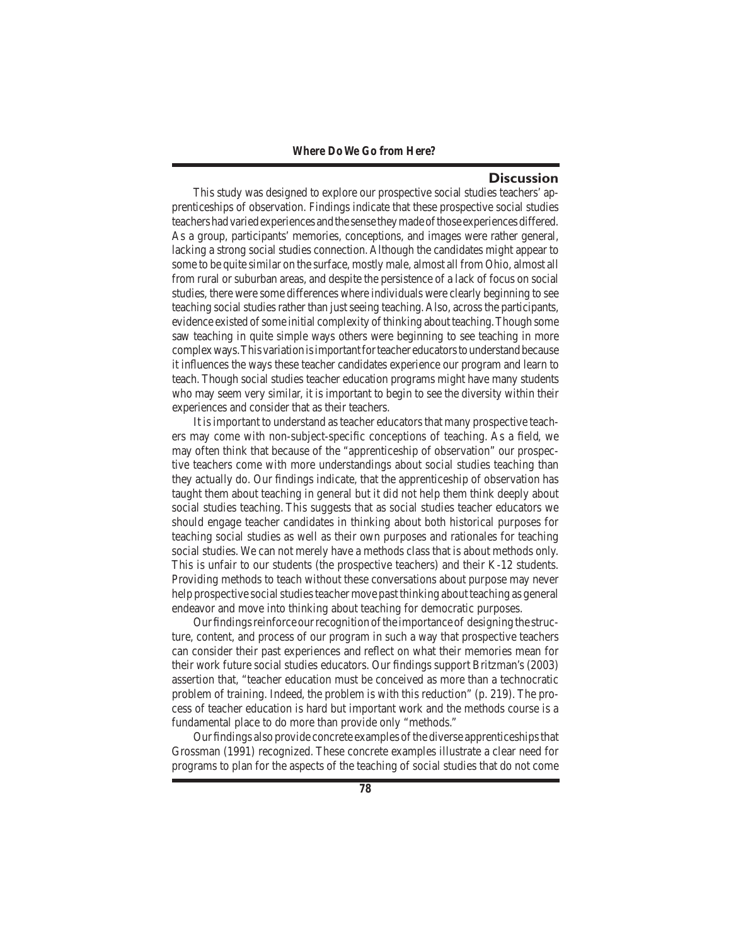## **Discussion**

 This study was designed to explore our prospective social studies teachers' apprenticeships of observation. Findings indicate that these prospective social studies teachers had varied experiences and the sense they made of those experiences differed. As a group, participants' memories, conceptions, and images were rather general, lacking a strong social studies connection. Although the candidates might appear to some to be quite similar on the surface, mostly male, almost all from Ohio, almost all from rural or suburban areas, and despite the persistence of a lack of focus on social studies, there were some differences where individuals were clearly beginning to see teaching social studies rather than just seeing teaching. Also, across the participants, evidence existed of some initial complexity of thinking about teaching. Though some saw teaching in quite simple ways others were beginning to see teaching in more complexways.Thisvariationisimportantforteacher educatorstounderstandbecause it influences the ways these teacher candidates experience our program and learn to teach. Though social studies teacher education programs might have many students who may seem very similar, it is important to begin to see the diversity within their experiences and consider that as their teachers.

 It isimportant to understand asteacher educatorsthat many prospective teachers may come with non-subject-specific conceptions of teaching. As a field, we may often think that because of the "apprenticeship of observation" our prospective teachers come with more understandings about social studies teaching than they actually do. Our findings indicate, that the apprenticeship of observation has taught them about teaching in general but it did not help them think deeply about social studies teaching. This suggests that as social studies teacher educators we should engage teacher candidates in thinking about both historical purposes for teaching social studies as well as their own purposes and rationales for teaching social studies. We can not merely have a methods class that is about methods only. This is unfair to our students (the prospective teachers) and their K-12 students. Providing methods to teach without these conversations about purpose may never help prospective social studies teacher move past thinking about teaching as general endeavor and move into thinking about teaching for democratic purposes.

Our findings reinforce our recognition of the importance of designing the structure, content, and process of our program in such a way that prospective teachers can consider their past experiences and reflect on what their memories mean for their work future social studies educators. Our findings support Britzman's (2003) assertion that, "teacher education must be conceived as more than a technocratic problem of training. Indeed, the problem is with this reduction" (p. 219). The process of teacher education is hard but important work and the methods course is a fundamental place to do more than provide only "methods."

Our findings also provide concrete examples of the diverse apprenticeships that Grossman (1991) recognized. These concrete examples illustrate a clear need for programs to plan for the aspects of the teaching of social studies that do not come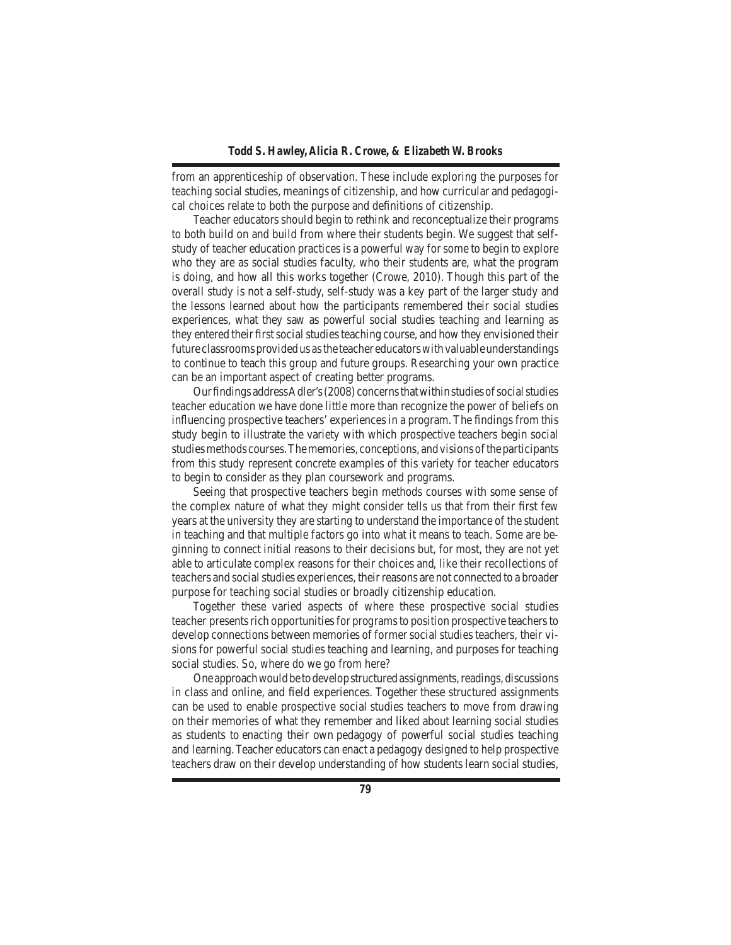from an apprenticeship of observation. These include exploring the purposes for teaching social studies, meanings of citizenship, and how curricular and pedagogical choices relate to both the purpose and definitions of citizenship.

 Teacher educators should begin to rethink and reconceptualize their programs to both build on and build from where their students begin. We suggest that selfstudy of teacher education practices is a powerful way for some to begin to explore who they are as social studies faculty, who their students are, what the program is doing, and how all this works together (Crowe, 2010). Though this part of the overall study is not a self-study, self-study was a key part of the larger study and the lessons learned about how the participants remembered their social studies experiences, what they saw as powerful social studies teaching and learning as they entered their first social studies teaching course, and how they envisioned their future classrooms provided us as the teacher educators with valuable understandings to continue to teach this group and future groups. Researching your own practice can be an important aspect of creating better programs.

Our findings address Adler's (2008) concerns that within studies of social studies teacher education we have done little more than recognize the power of beliefs on influencing prospective teachers' experiences in a program. The findings from this study begin to illustrate the variety with which prospective teachers begin social studiesmethods courses.Thememories, conceptions, andvisionsoftheparticipants from this study represent concrete examples of this variety for teacher educators to begin to consider as they plan coursework and programs.

 Seeing that prospective teachers begin methods courses with some sense of the complex nature of what they might consider tells us that from their first few years at the university they are starting to understand the importance of the student in teaching and that multiple factors go into what it means to teach. Some are beginning to connect initial reasons to their decisions but, for most, they are not yet able to articulate complex reasons for their choices and, like their recollections of teachers and social studies experiences, their reasons are not connected to a broader purpose for teaching social studies or broadly citizenship education.

 Together these varied aspects of where these prospective social studies teacher presents rich opportunities for programs to position prospective teachers to develop connections between memories of former social studies teachers, their visions for powerful social studies teaching and learning, and purposes for teaching social studies. So, where do we go from here?

One approach would be to develop structured assignments, readings, discussions in class and online, and field experiences. Together these structured assignments can be used to enable prospective social studies teachers to move from drawing on their memories of what they remember and liked about learning social studies as students to enacting their own pedagogy of powerful social studies teaching and learning.Teacher educators can enact a pedagogy designed to help prospective teachers draw on their develop understanding of how students learn social studies,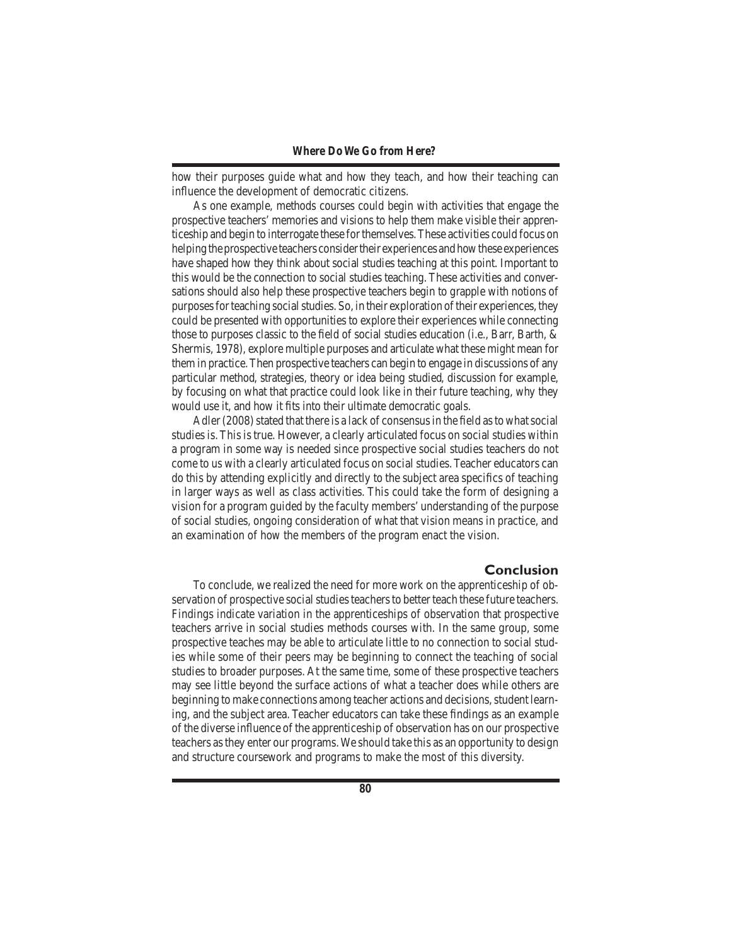how their purposes guide what and how they teach, and how their teaching can influence the development of democratic citizens.

 As one example, methods courses could begin with activities that engage the prospective teachers'memories and visions to help them make visible their apprenticeship and begin to interrogate these forthemselves.These activities could focus on helping the prospective teachers consider their experiences and how these experiences have shaped how they think about social studies teaching at this point. Important to this would be the connection to social studies teaching. These activities and conversations should also help these prospective teachers begin to grapple with notions of purposes for teaching social studies. So, in their exploration of their experiences, they could be presented with opportunities to explore their experiences while connecting those to purposes classic to the field of social studies education (i.e., Barr, Barth, & Shermis, 1978), explore multiple purposes and articulate what these might mean for them in practice.Then prospective teachers can begin to engage in discussions of any particular method, strategies, theory or idea being studied, discussion for example, by focusing on what that practice could look like in their future teaching, why they would use it, and how it fits into their ultimate democratic goals.

Adler  $(2008)$  stated that there is a lack of consensus in the field as to what social studies is. This is true. However, a clearly articulated focus on social studies within a program in some way is needed since prospective social studies teachers do not come to us with a clearly articulated focus on social studies.Teacher educators can do this by attending explicitly and directly to the subject area specifics of teaching in larger ways as well as class activities. This could take the form of designing a vision for a program guided by the faculty members' understanding of the purpose of social studies, ongoing consideration of what that vision means in practice, and an examination of how the members of the program enact the vision.

# **Conclusion**

 To conclude, we realized the need for more work on the apprenticeship of observation of prospective social studies teachers to better teach these future teachers. Findings indicate variation in the apprenticeships of observation that prospective teachers arrive in social studies methods courses with. In the same group, some prospective teaches may be able to articulate little to no connection to social studies while some of their peers may be beginning to connect the teaching of social studies to broader purposes. At the same time, some of these prospective teachers may see little beyond the surface actions of what a teacher does while others are beginning to make connections among teacher actions and decisions, student learning, and the subject area. Teacher educators can take these findings as an example of the diverse influence of the apprenticeship of observation has on our prospective teachers asthey enter our programs.We should take this as an opportunity to design and structure coursework and programs to make the most of this diversity.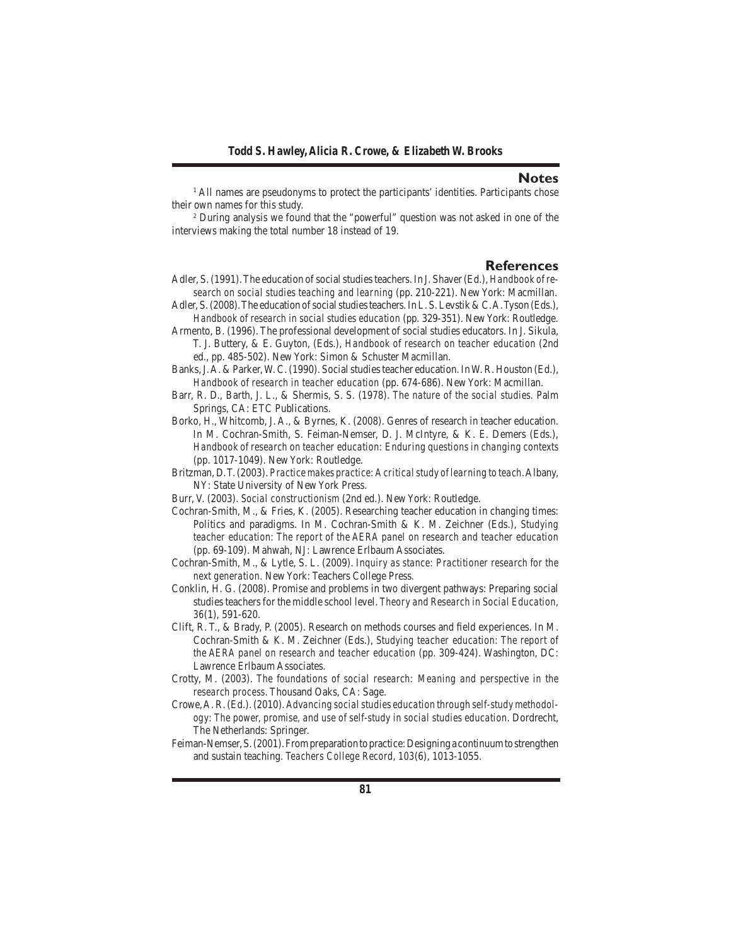#### **Notes**

<sup>1</sup> All names are pseudonyms to protect the participants' identities. Participants chose their own names for this study.

<sup>2</sup> During analysis we found that the "powerful" question was not asked in one of the interviews making the total number 18 instead of 19.

### **References**

- Adler, S. (1991). The education of social studies teachers. In J. Shaver (Ed.), *Handbook of research on social studies teaching and learning* (pp. 210-221). New York: Macmillan.
- Adler, S. (2008). The education of social studies teachers. In L. S. Levstik & C. A. Tyson (Eds.), *Handbook of research in social studies education (pp. 329-351). New York: Routledge.*
- Armento, B. (1996). The professional development of social studies educators. In J. Sikula, T. J. Buttery, & E. Guyton, (Eds.), *Handbook of research on teacher education* (2nd ed., pp. 485-502). New York: Simon & Schuster Macmillan.
- Banks, J.A. & Parker, W.C. (1990). Social studies teacher education. In W.R. Houston (Ed.), *Handbook of research in teacher education* (pp. 674-686). New York: Macmillan.
- Barr, R. D., Barth, J. L., & Shermis, S. S. (1978). *The nature of the social studies.* Palm Springs, CA: ETC Publications.
- Borko, H., Whitcomb, J. A., & Byrnes, K. (2008). Genres of research in teacher education. In M. Cochran-Smith, S. Feiman-Nemser, D. J. McIntyre, & K. E. Demers (Eds.), *Handbook of research on teacher education: Enduring questions in changing contexts* (pp. 1017-1049). New York: Routledge.
- Britzman, D.T.(2003). *Practice makes practice: A critical study of learning to teach*.Albany, NY: State University of New York Press.
- Burr, V. (2003). *Social constructionism* (2nd ed.). New York: Routledge.
- Cochran-Smith, M., & Fries, K. (2005). Researching teacher education in changing times: Politics and paradigms. In M. Cochran-Smith & K. M. Zeichner (Eds.), *Studying teacher education: The report of the AERA panel on research and teacher education* (pp. 69-109). Mahwah, NJ: Lawrence Erlbaum Associates.
- Cochran-Smith, M., & Lytle, S. L. (2009). *Inquiry as stance: Practitioner research for the next generation.* New York: Teachers College Press.
- Conklin, H. G. (2008). Promise and problems in two divergent pathways: Preparing social studies teachers for the middle school level. *Theory and Research in Social Education, 36*(1), 591-620.
- Clift, R. T., & Brady, P. (2005). Research on methods courses and field experiences. In M. Cochran-Smith & K. M. Zeichner (Eds.), *Studying teacher education: The report of the AERA panel on research and teacher education* (pp. 309-424). Washington, DC: Lawrence Erlbaum Associates.
- Crotty, M. (2003). *The foundations of social research: Meaning and perspective in the research process*. Thousand Oaks, CA: Sage.
- Crowe,A.R.(Ed.).(2010). *Advancing social studies education through self-study methodology: The power, promise, and use of self-study in social studies education*. Dordrecht, The Netherlands: Springer.
- Feiman-Nemser,S.(2001).Frompreparationtopractice:Designinga continuumtostrengthen and sustain teaching. *Teachers College Record, 103*(6), 1013-1055.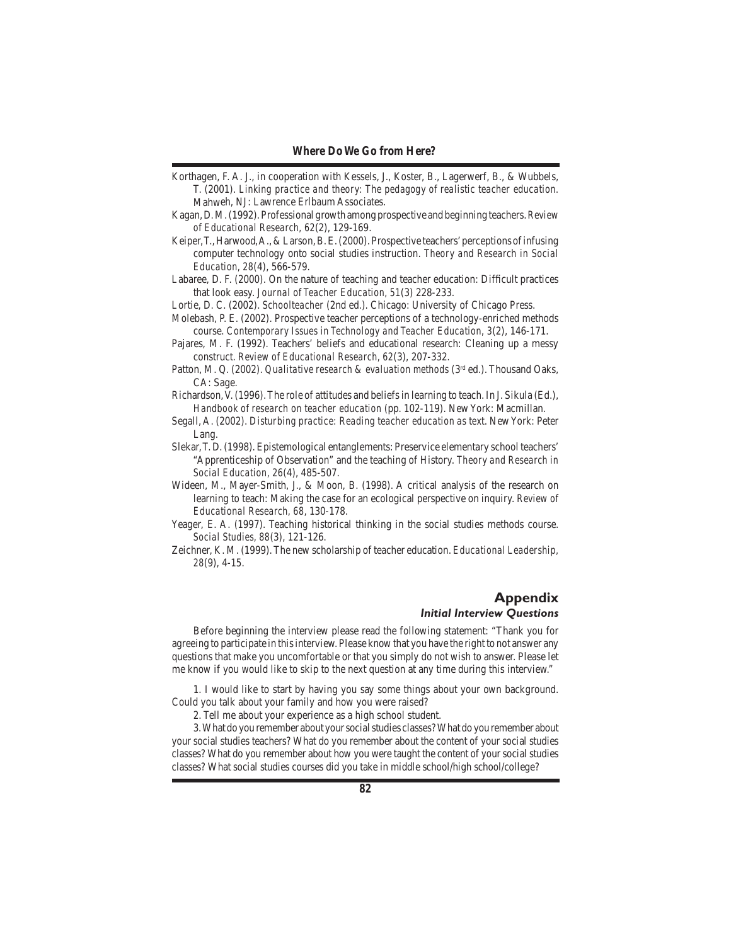- Korthagen, F. A. J., in cooperation with Kessels, J., Koster, B., Lagerwerf, B., & Wubbels, T. (2001). *Linking practice and theory: The pedagogy of realistic teacher education.* Mahweh, NJ: Lawrence Erlbaum Associates.
- Kagan,D.M.(1992).Professional growth amongprospective andbeginning teachers.*Review of Educational Research, 62*(2), 129-169.
- Keiper,T.,Harwood,A.,&Larson,B.E.(2000).Prospective teachers'perceptions ofinfusing computer technology onto social studies instruction. *Theory and Research in Social Education, 28*(4), 566-579.
- Labaree, D. F. (2000). On the nature of teaching and teacher education: Difficult practices that look easy. *Journal of Teacher Education, 51*(3) 228-233.
- Lortie, D. C. (2002). *Schoolteacher* (2nd ed.). Chicago: University of Chicago Press.
- Molebash, P. E. (2002). Prospective teacher perceptions of a technology-enriched methods course. *Contemporary Issues in Technology and Teacher Education, 3*(2), 146-171.
- Pajares, M. F. (1992). Teachers' beliefs and educational research: Cleaning up a messy construct. *Review of Educational Research, 62*(3), 207-332*.*
- Patton, M. Q. (2002). *Qualitative research & evaluation methods* (3<sup>rd</sup> ed.). Thousand Oaks, CA: Sage.
- Richardson,V. (1996).The role of attitudes and beliefsin learning to teach. In J. Sikula (Ed.), *Handbook of research on teacher education* (pp. 102-119). New York: Macmillan.
- Segall, A. (2002). *Disturbing practice: Reading teacher education as text*. NewYork: Peter Lang.
- Slekar,T. D.(1998).Epistemological entanglements: Preservice elementary school teachers' "Apprenticeship of Observation" and the teaching of History. *Theory and Research in Social Education, 26*(4), 485-507.
- Wideen, M., Mayer-Smith, J., & Moon, B. (1998). A critical analysis of the research on learning to teach: Making the case for an ecological perspective on inquiry. *Review of Educational Research, 68*, 130-178.
- Yeager, E. A. (1997). Teaching historical thinking in the social studies methods course. *Social Studies, 88*(3), 121-126.
- Zeichner, K. M. (1999).The new scholarship of teacher education. *Educational Leadership, 28*(9), 4-15.

#### **Appendix** *Initial Interview Questions*

 Before beginning the interview please read the following statement: "Thank you for agreeing to participate in thisinterview. Please know that you have the right to not answer any questions that make you uncomfortable or that you simply do not wish to answer. Please let me know if you would like to skip to the next question at any time during this interview."

 1. I would like to start by having you say some things about your own background. Could you talk about your family and how you were raised?

 2. Tell me about your experience as a high school student.

 3.What do you remember about yoursocialstudies classes?What do you remember about your social studies teachers? What do you remember about the content of your social studies classes? What do you remember about how you were taught the content of your social studies classes? What social studies courses did you take in middle school/high school/college?